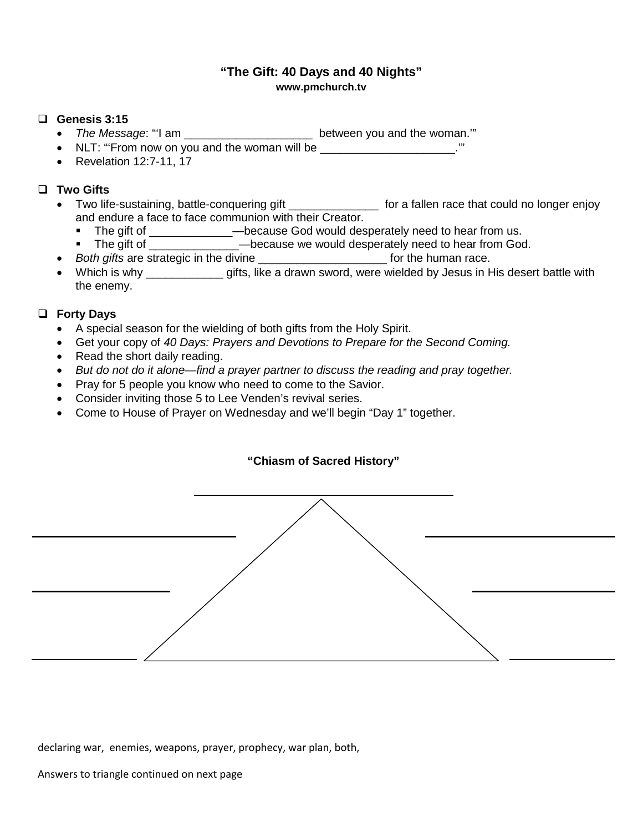# **"The Gift: 40 Days and 40 Nights" www.pmchurch.tv**

#### **Genesis 3:15**

- *The Message*: "'I am \_\_\_\_\_\_\_\_\_\_\_\_\_\_\_\_\_\_\_\_ between you and the woman.'"
- NLT: "From now on you and the woman will be  $\blacksquare$
- Revelation 12:7-11, 17

# **Two Gifts**

- Two life-sustaining, battle-conquering gift \_\_\_\_\_\_\_\_\_\_\_\_\_\_\_\_ for a fallen race that could no longer enjoy and endure a face to face communion with their Creator.
	- The gift of \_\_\_\_\_\_\_\_\_\_\_\_\_\_—because God would desperately need to hear from us.
	- The gift of  $\longrightarrow$  because we would desperately need to hear from God.
- *Both gifts* are strategic in the divine \_\_\_\_\_\_\_\_\_\_\_\_\_\_\_\_\_\_\_\_ for the human race.
- Which is why \_\_\_\_\_\_\_\_\_\_\_\_ gifts, like a drawn sword, were wielded by Jesus in His desert battle with the enemy.

### **Forty Days**

- A special season for the wielding of both gifts from the Holy Spirit.
- Get your copy of *40 Days: Prayers and Devotions to Prepare for the Second Coming.*
- Read the short daily reading.
- *But do not do it alone—find a prayer partner to discuss the reading and pray together.*
- Pray for 5 people you know who need to come to the Savior.
- Consider inviting those 5 to Lee Venden's revival series.
- Come to House of Prayer on Wednesday and we'll begin "Day 1" together.

### **"Chiasm of Sacred History"**



declaring war, enemies, weapons, prayer, prophecy, war plan, both,

Answers to triangle continued on next page